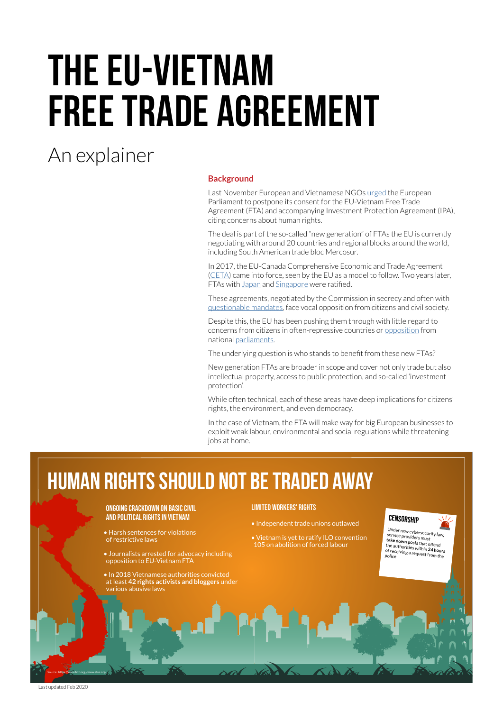# The EU-Vietnam Free Trade Agreement

### An explainer

#### **Background**

Last November European and Vietnamese NGOs [urged](https://www.hrw.org/news/2019/11/04/joint-ngo-letter-eu-vietnam-free-trade-agreement) the European Parliament to postpone its consent for the EU-Vietnam Free Trade Agreement (FTA) and accompanying Investment Protection Agreement (IPA), citing concerns about human rights.

The deal is part of the so-called "new generation" of FTAs the EU is currently negotiating with around 20 countries and regional blocks around the world, including South American trade bloc Mercosur.

In 2017, the EU-Canada Comprehensive Economic and Trade Agreement [\(CETA](https://www.guengl.eu/issues/publications/stop-ceta/)) came into force, seen by the EU as a model to follow. Two years later, FTAs with [Japan](https://www.guengl.eu/issues/explainers/jefta/) and [Singapore](https://www.europarl.europa.eu/legislative-train/theme-a-balanced-and-progressive-trade-policy-to-harness-globalisation/file-eu-singapore-fta) were ratified.

These agreements, negotiated by the Commission in secrecy and often with [questionable mandates,](https://www.guengl.eu/issues/explainers/eu-mercosur-free-trade-agreement-an-explainer/) face vocal opposition from citizens and civil society.

Despite this, the EU has been pushing them through with little regard to concerns from citizens in often-repressive countries or [opposition](https://www.euractiv.com/section/ceta/news/french-mps-strongly-oppose-ceta-one-day-before-ratification-vote/) from national [parliaments](https://www.7sur7.be/economie/apres-le-ceta-magnette-presente-une-declaration-de-namur~ad47c816/?referrer=https://www.google.com/).

The underlying question is who stands to benefit from these new FTAs?

New generation FTAs are broader in scope and cover not only trade but also intellectual property, access to public protection, and so-called 'investment protection'.

While often technical, each of these areas have deep implications for citizens' rights, the environment, and even democracy.

In the case of Vietnam, the FTA will make way for big European businesses to exploit weak labour, environmental and social regulations while threatening jobs at home.

## **Human rights should not be traded away**

#### Ongoing crackdown on basic civil and political rights in vietnam

• Harsh sentences for violations of restrictive laws

• Journalists arrested for advocacy including opposition to EU-Vietnam FTA

• In 2018 Vietnamese authorities convicted at least **42 rights activists and bloggers** under various abusive laws

#### Limited workers' rights

- Independent trade unions outlawed
- Vietnam is yet to ratify ILO convention 105 on abolition of forced labour



Under new cybersecurity law,<br>
service providers must<br> **take down posts** that offend<br>
the authorities within 24 hours<br>
of receiving a request from the<br>
police

Source: https://www.fidh.org./www.etuc.org/